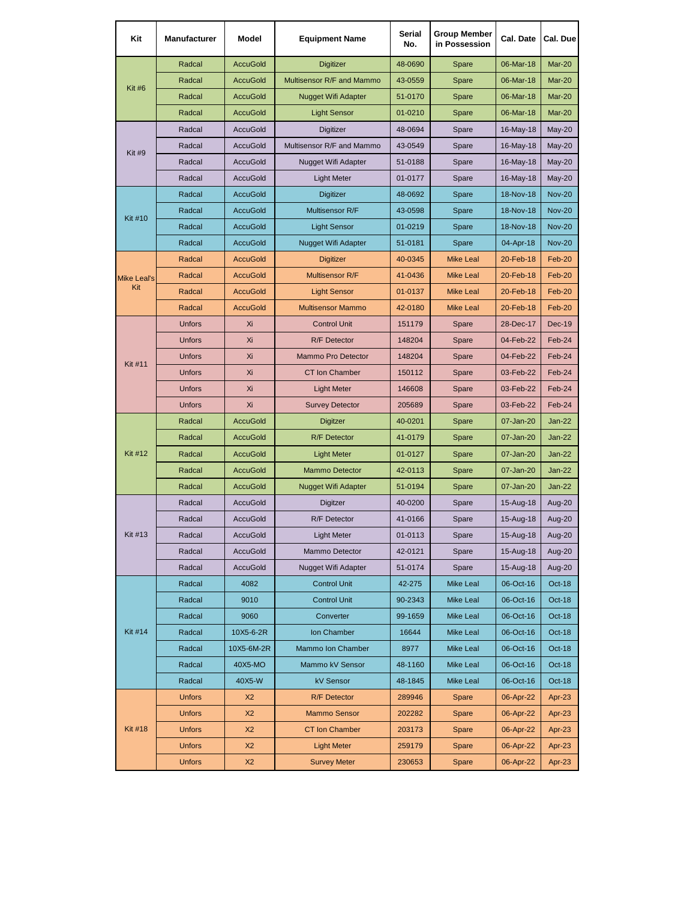| Kit                | <b>Manufacturer</b> | Model           | <b>Equipment Name</b>      | Serial<br>No. | <b>Group Member</b><br>in Possession | Cal. Date | Cal. Due      |
|--------------------|---------------------|-----------------|----------------------------|---------------|--------------------------------------|-----------|---------------|
| Kit #6             | Radcal              | <b>AccuGold</b> | <b>Digitizer</b>           | 48-0690       | Spare                                | 06-Mar-18 | Mar-20        |
|                    | Radcal              | <b>AccuGold</b> | Multisensor R/F and Mammo  | 43-0559       | Spare                                | 06-Mar-18 | Mar-20        |
|                    | Radcal              | <b>AccuGold</b> | Nugget Wifi Adapter        | 51-0170       | Spare                                | 06-Mar-18 | Mar-20        |
|                    | Radcal              | <b>AccuGold</b> | <b>Light Sensor</b>        | 01-0210       | Spare                                | 06-Mar-18 | Mar-20        |
|                    | Radcal              | <b>AccuGold</b> | <b>Digitizer</b>           | 48-0694       | Spare                                | 16-May-18 | $May-20$      |
| <b>Kit #9</b>      | Radcal              | <b>AccuGold</b> | Multisensor R/F and Mammo  | 43-0549       | Spare                                | 16-May-18 | $May-20$      |
|                    | Radcal              | <b>AccuGold</b> | <b>Nugget Wifi Adapter</b> | 51-0188       | Spare                                | 16-May-18 | May-20        |
|                    | Radcal              | <b>AccuGold</b> | Light Meter                | 01-0177       | Spare                                | 16-May-18 | $May-20$      |
|                    | Radcal              | <b>AccuGold</b> | <b>Digitizer</b>           | 48-0692       | Spare                                | 18-Nov-18 | <b>Nov-20</b> |
| <b>Kit #10</b>     | Radcal              | <b>AccuGold</b> | Multisensor R/F            | 43-0598       | Spare                                | 18-Nov-18 | <b>Nov-20</b> |
|                    | Radcal              | <b>AccuGold</b> | <b>Light Sensor</b>        | 01-0219       | Spare                                | 18-Nov-18 | <b>Nov-20</b> |
|                    | Radcal              | <b>AccuGold</b> | <b>Nugget Wifi Adapter</b> | 51-0181       | Spare                                | 04-Apr-18 | <b>Nov-20</b> |
|                    | Radcal              | <b>AccuGold</b> | <b>Digitizer</b>           | 40-0345       | <b>Mike Leal</b>                     | 20-Feb-18 | Feb-20        |
| <b>Mike Leal's</b> | Radcal              | <b>AccuGold</b> | Multisensor R/F            | 41-0436       | <b>Mike Leal</b>                     | 20-Feb-18 | Feb-20        |
| Kit                | Radcal              | <b>AccuGold</b> | <b>Light Sensor</b>        | 01-0137       | <b>Mike Leal</b>                     | 20-Feb-18 | Feb-20        |
|                    | Radcal              | <b>AccuGold</b> | <b>Multisensor Mammo</b>   | 42-0180       | <b>Mike Leal</b>                     | 20-Feb-18 | Feb-20        |
|                    | <b>Unfors</b>       | Xi              | <b>Control Unit</b>        | 151179        | Spare                                | 28-Dec-17 | Dec-19        |
|                    | <b>Unfors</b>       | Xi              | <b>R/F</b> Detector        | 148204        | Spare                                | 04-Feb-22 | Feb-24        |
|                    | <b>Unfors</b>       | Xi              | <b>Mammo Pro Detector</b>  | 148204        | Spare                                | 04-Feb-22 | Feb-24        |
| <b>Kit #11</b>     | <b>Unfors</b>       | Xi              | <b>CT Ion Chamber</b>      | 150112        | Spare                                | 03-Feb-22 | Feb-24        |
|                    | <b>Unfors</b>       | Xi              | <b>Light Meter</b>         | 146608        | Spare                                | 03-Feb-22 | Feb-24        |
|                    | <b>Unfors</b>       | Xi              | <b>Survey Detector</b>     | 205689        | Spare                                | 03-Feb-22 | Feb-24        |
|                    | Radcal              | <b>AccuGold</b> | Digitzer                   | 40-0201       | Spare                                | 07-Jan-20 | <b>Jan-22</b> |
|                    | Radcal              | <b>AccuGold</b> | <b>R/F</b> Detector        | 41-0179       | Spare                                | 07-Jan-20 | $Jan-22$      |
| <b>Kit #12</b>     | Radcal              | <b>AccuGold</b> | <b>Light Meter</b>         | 01-0127       | Spare                                | 07-Jan-20 | <b>Jan-22</b> |
|                    | Radcal              | <b>AccuGold</b> | <b>Mammo Detector</b>      | 42-0113       | Spare                                | 07-Jan-20 | $Jan-22$      |
|                    | Radcal              | <b>AccuGold</b> | <b>Nugget Wifi Adapter</b> | 51-0194       | Spare                                | 07-Jan-20 | <b>Jan-22</b> |
|                    | Radcal              | <b>AccuGold</b> | Digitzer                   | 40-0200       | Spare                                | 15-Aug-18 | Aug-20        |
|                    | Radcal              | <b>AccuGold</b> | <b>R/F Detector</b>        | 41-0166       | Spare                                | 15-Aug-18 | Aug-20        |
| Kit #13            | Radcal              | AccuGold        | <b>Light Meter</b>         | 01-0113       | Spare                                | 15-Aug-18 | Aug-20        |
|                    | Radcal              | <b>AccuGold</b> | <b>Mammo Detector</b>      | 42-0121       | Spare                                | 15-Aug-18 | Aug-20        |
|                    | Radcal              | <b>AccuGold</b> | Nugget Wifi Adapter        | 51-0174       | Spare                                | 15-Aug-18 | Aug-20        |
| Kit #14            | Radcal              | 4082            | <b>Control Unit</b>        | 42-275        | Mike Leal                            | 06-Oct-16 | Oct-18        |
|                    | Radcal              | 9010            | <b>Control Unit</b>        | 90-2343       | <b>Mike Leal</b>                     | 06-Oct-16 | Oct-18        |
|                    | Radcal              | 9060            | Converter                  | 99-1659       | Mike Leal                            | 06-Oct-16 | Oct-18        |
|                    | Radcal              | 10X5-6-2R       | Ion Chamber                | 16644         | <b>Mike Leal</b>                     | 06-Oct-16 | Oct-18        |
|                    | Radcal              | 10X5-6M-2R      | Mammo Ion Chamber          | 8977          | Mike Leal                            | 06-Oct-16 | Oct-18        |
|                    | Radcal              | 40X5-MO         | Mammo kV Sensor            | 48-1160       | Mike Leal                            | 06-Oct-16 | Oct-18        |
|                    | Radcal              | 40X5-W          | kV Sensor                  | 48-1845       | Mike Leal                            | 06-Oct-16 | Oct-18        |
| <b>Kit #18</b>     | <b>Unfors</b>       | X <sub>2</sub>  | <b>R/F Detector</b>        | 289946        | Spare                                | 06-Apr-22 | Apr-23        |
|                    | <b>Unfors</b>       | X <sub>2</sub>  | <b>Mammo Sensor</b>        | 202282        | Spare                                | 06-Apr-22 | Apr-23        |
|                    | <b>Unfors</b>       | X <sub>2</sub>  | <b>CT Ion Chamber</b>      | 203173        | Spare                                | 06-Apr-22 | Apr-23        |
|                    | <b>Unfors</b>       | X <sub>2</sub>  | <b>Light Meter</b>         | 259179        | Spare                                | 06-Apr-22 | Apr-23        |
|                    | <b>Unfors</b>       | X2              | <b>Survey Meter</b>        | 230653        | Spare                                | 06-Apr-22 | Apr-23        |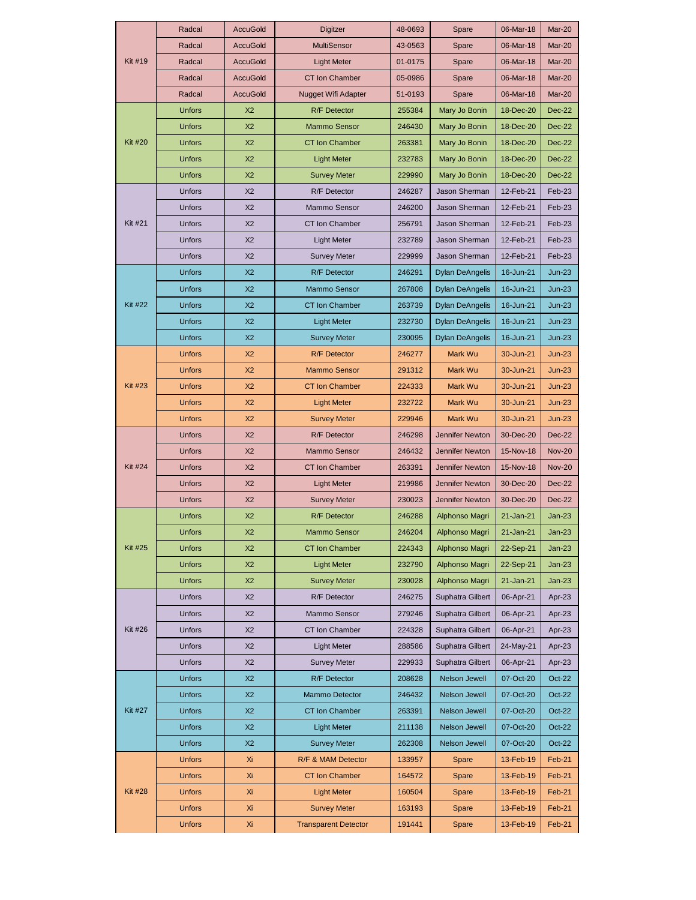| <b>Kit #19</b> | Radcal        | <b>AccuGold</b> | Digitzer                    | 48-0693 | Spare                  | 06-Mar-18 | Mar-20        |
|----------------|---------------|-----------------|-----------------------------|---------|------------------------|-----------|---------------|
|                | Radcal        | <b>AccuGold</b> | <b>MultiSensor</b>          | 43-0563 | Spare                  | 06-Mar-18 | Mar-20        |
|                | Radcal        | <b>AccuGold</b> | <b>Light Meter</b>          | 01-0175 | Spare                  | 06-Mar-18 | Mar-20        |
|                | Radcal        | <b>AccuGold</b> | <b>CT Ion Chamber</b>       | 05-0986 | Spare                  | 06-Mar-18 | Mar-20        |
|                | Radcal        | <b>AccuGold</b> | Nugget Wifi Adapter         | 51-0193 | Spare                  | 06-Mar-18 | Mar-20        |
|                | Unfors        | X <sub>2</sub>  | <b>R/F</b> Detector         | 255384  | Mary Jo Bonin          | 18-Dec-20 | <b>Dec-22</b> |
| <b>Kit #20</b> | <b>Unfors</b> | X <sub>2</sub>  | Mammo Sensor                | 246430  | Mary Jo Bonin          | 18-Dec-20 | Dec-22        |
|                | <b>Unfors</b> | X <sub>2</sub>  | <b>CT Ion Chamber</b>       | 263381  | Mary Jo Bonin          | 18-Dec-20 | Dec-22        |
|                | <b>Unfors</b> | X <sub>2</sub>  | <b>Light Meter</b>          | 232783  | Mary Jo Bonin          | 18-Dec-20 | Dec-22        |
|                | Unfors        | X <sub>2</sub>  | <b>Survey Meter</b>         | 229990  | Mary Jo Bonin          | 18-Dec-20 | Dec-22        |
| Kit #21        | Unfors        | X <sub>2</sub>  | <b>R/F</b> Detector         | 246287  | Jason Sherman          | 12-Feb-21 | Feb-23        |
|                | <b>Unfors</b> | X <sub>2</sub>  | Mammo Sensor                | 246200  | Jason Sherman          | 12-Feb-21 | Feb-23        |
|                | Unfors        | X <sub>2</sub>  | CT Ion Chamber              | 256791  | Jason Sherman          | 12-Feb-21 | Feb-23        |
|                | <b>Unfors</b> | X <sub>2</sub>  | <b>Light Meter</b>          | 232789  | Jason Sherman          | 12-Feb-21 | Feb-23        |
|                | <b>Unfors</b> | X <sub>2</sub>  | <b>Survey Meter</b>         | 229999  | <b>Jason Sherman</b>   | 12-Feb-21 | Feb-23        |
|                | <b>Unfors</b> | X <sub>2</sub>  | <b>R/F</b> Detector         | 246291  | <b>Dylan DeAngelis</b> | 16-Jun-21 | $Jun-23$      |
|                | <b>Unfors</b> | X <sub>2</sub>  | <b>Mammo Sensor</b>         | 267808  | <b>Dylan DeAngelis</b> | 16-Jun-21 | $Jun-23$      |
| Kit #22        | <b>Unfors</b> | X <sub>2</sub>  | <b>CT Ion Chamber</b>       | 263739  | <b>Dylan DeAngelis</b> | 16-Jun-21 | $Jun-23$      |
|                | <b>Unfors</b> | X <sub>2</sub>  | <b>Light Meter</b>          | 232730  | <b>Dylan DeAngelis</b> | 16-Jun-21 | $Jun-23$      |
|                | <b>Unfors</b> | X <sub>2</sub>  | <b>Survey Meter</b>         | 230095  | <b>Dylan DeAngelis</b> | 16-Jun-21 | $Jun-23$      |
|                | <b>Unfors</b> | X2              | <b>R/F</b> Detector         | 246277  | Mark Wu                | 30-Jun-21 | $Jun-23$      |
| <b>Kit #23</b> | <b>Unfors</b> | X <sub>2</sub>  | <b>Mammo Sensor</b>         | 291312  | Mark Wu                | 30-Jun-21 | $Jun-23$      |
|                | <b>Unfors</b> | X2              | <b>CT Ion Chamber</b>       | 224333  | Mark Wu                | 30-Jun-21 | $Jun-23$      |
|                | <b>Unfors</b> | X <sub>2</sub>  | <b>Light Meter</b>          | 232722  | Mark Wu                | 30-Jun-21 | $Jun-23$      |
|                | <b>Unfors</b> | X <sub>2</sub>  | <b>Survey Meter</b>         | 229946  | Mark Wu                | 30-Jun-21 | $Jun-23$      |
|                | <b>Unfors</b> | X <sub>2</sub>  | <b>R/F</b> Detector         | 246298  | <b>Jennifer Newton</b> | 30-Dec-20 | <b>Dec-22</b> |
| Kit #24        | Unfors        | X <sub>2</sub>  | <b>Mammo Sensor</b>         | 246432  | Jennifer Newton        | 15-Nov-18 | <b>Nov-20</b> |
|                | Unfors        | X <sub>2</sub>  | <b>CT Ion Chamber</b>       | 263391  | Jennifer Newton        | 15-Nov-18 | <b>Nov-20</b> |
|                | <b>Unfors</b> | X <sub>2</sub>  | <b>Light Meter</b>          | 219986  | Jennifer Newton        | 30-Dec-20 | Dec-22        |
|                | Unfors        | X <sub>2</sub>  | <b>Survey Meter</b>         | 230023  | Jennifer Newton        | 30-Dec-20 | <b>Dec-22</b> |
|                | <b>Unfors</b> | X <sub>2</sub>  | <b>R/F</b> Detector         | 246288  | Alphonso Magri         | 21-Jan-21 | $Jan-23$      |
| Kit #25        | <b>Unfors</b> | X <sub>2</sub>  | <b>Mammo Sensor</b>         | 246204  | Alphonso Magri         | 21-Jan-21 | $Jan-23$      |
|                | Unfors        | X <sub>2</sub>  | <b>CT Ion Chamber</b>       | 224343  | Alphonso Magri         | 22-Sep-21 | Jan-23        |
|                | <b>Unfors</b> | X <sub>2</sub>  | <b>Light Meter</b>          | 232790  | Alphonso Magri         | 22-Sep-21 | Jan-23        |
|                | Unfors        | X <sub>2</sub>  | <b>Survey Meter</b>         | 230028  | Alphonso Magri         | 21-Jan-21 | Jan-23        |
| Kit #26        | Unfors        | X <sub>2</sub>  | R/F Detector                | 246275  | Suphatra Gilbert       | 06-Apr-21 | Apr-23        |
|                | <b>Unfors</b> | X2              | Mammo Sensor                | 279246  | Suphatra Gilbert       | 06-Apr-21 | Apr-23        |
|                | Unfors        | X2              | CT Ion Chamber              | 224328  | Suphatra Gilbert       | 06-Apr-21 | Apr-23        |
|                | Unfors        | X <sub>2</sub>  | <b>Light Meter</b>          | 288586  | Suphatra Gilbert       | 24-May-21 | Apr-23        |
|                | Unfors        | X <sub>2</sub>  | <b>Survey Meter</b>         | 229933  | Suphatra Gilbert       | 06-Apr-21 | Apr-23        |
| Kit #27        | <b>Unfors</b> | X2              | <b>R/F</b> Detector         | 208628  | Nelson Jewell          | 07-Oct-20 | $Oct-22$      |
|                | Unfors        | X <sub>2</sub>  | Mammo Detector              | 246432  | Nelson Jewell          | 07-Oct-20 | $Oct-22$      |
|                | Unfors        | X2              | CT Ion Chamber              | 263391  | Nelson Jewell          | 07-Oct-20 | $Oct-22$      |
|                | Unfors        | X <sub>2</sub>  | <b>Light Meter</b>          | 211138  | Nelson Jewell          | 07-Oct-20 | $Oct-22$      |
|                | <b>Unfors</b> | X2              | <b>Survey Meter</b>         | 262308  | Nelson Jewell          | 07-Oct-20 | $Oct-22$      |
|                | Unfors        | Xi              | R/F & MAM Detector          | 133957  | Spare                  | 13-Feb-19 | Feb-21        |
| <b>Kit #28</b> | Unfors        | Χi              | <b>CT Ion Chamber</b>       | 164572  | Spare                  | 13-Feb-19 | Feb-21        |
|                | Unfors        | Xi              | <b>Light Meter</b>          | 160504  | Spare                  | 13-Feb-19 | Feb-21        |
|                | Unfors        | Xi              | <b>Survey Meter</b>         | 163193  | Spare                  | 13-Feb-19 | Feb-21        |
|                | Unfors        | Xi              | <b>Transparent Detector</b> | 191441  | Spare                  | 13-Feb-19 | Feb-21        |